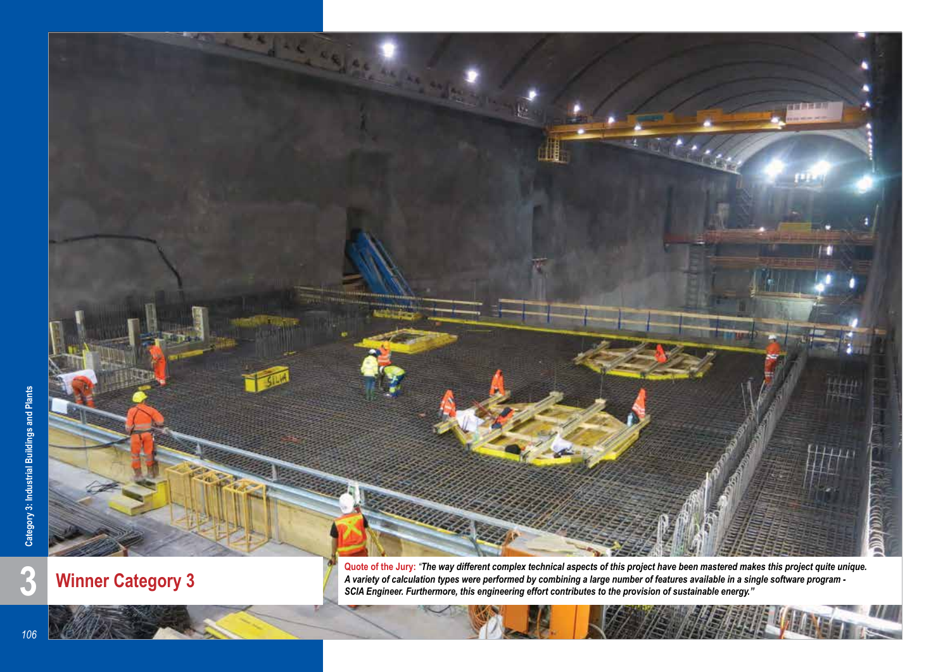

**Winner Category 3**

*A variety of calculation types were performed by combining a large number of features available in a single software program - SCIA Engineer. Furthermore, this engineering effort contributes to the provision of sustainable energy."*